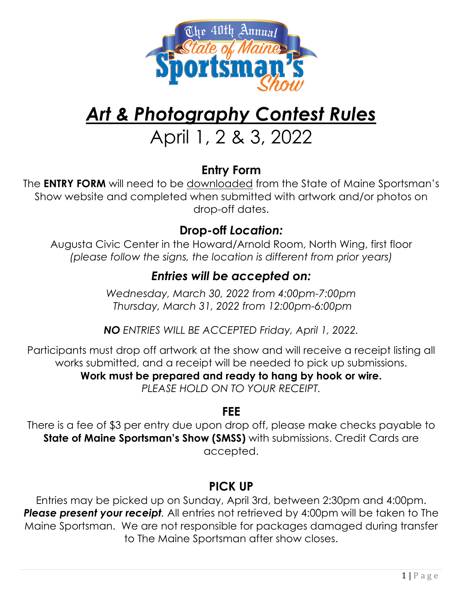

# *Art & Photography Contest Rules*

## April 1, 2 & 3, 2022

#### **Entry Form**

The **ENTRY FORM** will need to be downloaded from the State of Maine Sportsman's Show website and completed when submitted with artwork and/or photos on drop-off dates.

#### **Drop-off** *Location:*

Augusta Civic Center in the Howard/Arnold Room, North Wing, first floor *(please follow the signs, the location is different from prior years)*

#### *Entries will be accepted on:*

*Wednesday, March 30, 2022 from 4:00pm-7:00pm Thursday, March 31, 2022 from 12:00pm-6:00pm*

*NO ENTRIES WILL BE ACCEPTED Friday, April 1, 2022.*

Participants must drop off artwork at the show and will receive a receipt listing all works submitted, and a receipt will be needed to pick up submissions.

**Work must be prepared and ready to hang by hook or wire.**

*PLEASE HOLD ON TO YOUR RECEIPT.*

## **FEE**

There is a fee of \$3 per entry due upon drop off, please make checks payable to **State of Maine Sportsman's Show (SMSS)** with submissions. Credit Cards are accepted.

## **PICK UP**

Entries may be picked up on Sunday, April 3rd, between 2:30pm and 4:00pm. **Please present your receipt**. All entries not retrieved by 4:00pm will be taken to The Maine Sportsman. We are not responsible for packages damaged during transfer to The Maine Sportsman after show closes.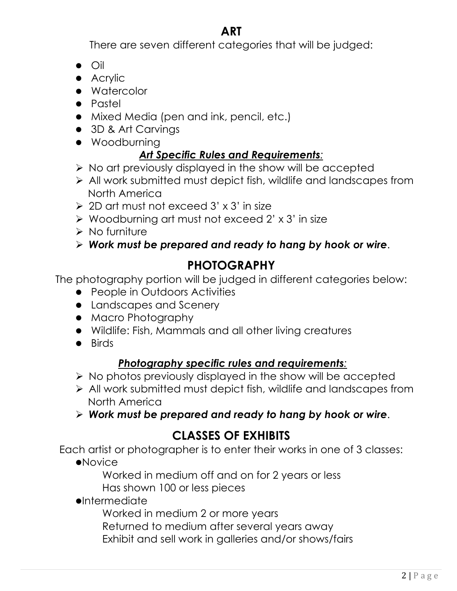#### **ART**

There are seven different categories that will be judged:

- $\bullet$  Oil
- $\bullet$  Acrylic
- Watercolor
- Pastel
- Mixed Media (pen and ink, pencil, etc.)
- 3D & Art Carvings
- **•** Woodburning

#### *Art Specific Rules and Requirements:*

- $\triangleright$  No art previously displayed in the show will be accepted
- $\triangleright$  All work submitted must depict fish, wildlife and landscapes from North America
- $\geqslant$  2D art must not exceed 3' x 3' in size
- $\triangleright$  Woodburning art must not exceed 2' x 3' in size
- $\triangleright$  No furniture
- Ø *Work must be prepared and ready to hang by hook or wire*.

#### **PHOTOGRAPHY**

The photography portion will be judged in different categories below:

- People in Outdoors Activities
- Landscapes and Scenery
- **•** Macro Photography
- Wildlife: Fish, Mammals and all other living creatures
- $\bullet$  Birds

#### *Photography specific rules and requirements:*

- $\triangleright$  No photos previously displayed in the show will be accepted
- $\triangleright$  All work submitted must depict fish, wildlife and landscapes from North America
- Ø *Work must be prepared and ready to hang by hook or wire*.

#### **CLASSES OF EXHIBITS**

Each artist or photographer is to enter their works in one of 3 classes:

 $\bullet$ Novice

Worked in medium off and on for 2 years or less Has shown 100 or less pieces

 $\bullet$ Intermediate

Worked in medium 2 or more years

Returned to medium after several years away

Exhibit and sell work in galleries and/or shows/fairs